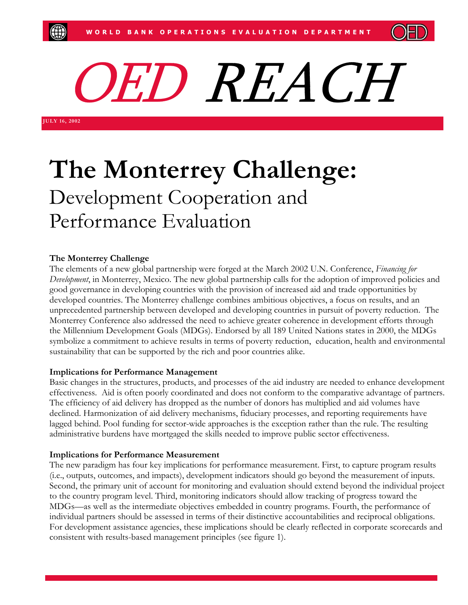

O ED REACH

**JULY 16, 200 2** 

# **The Monterrey Challenge:** Development Cooperation and Performance Evaluation

# **The Monterrey Challenge**

The elements of a new global partnership were forged at the March 2002 U.N. Conference, *Financing for Development*, in Monterrey, Mexico. The new global partnership calls for the adoption of improved policies and good governance in developing countries with the provision of increased aid and trade opportunities by developed countries. The Monterrey challenge combines ambitious objectives, a focus on results, and an unprecedented partnership between developed and developing countries in pursuit of poverty reduction. The Monterrey Conference also addressed the need to achieve greater coherence in development efforts through the Millennium Development Goals (MDGs). Endorsed by all 189 United Nations states in 2000, the MDGs symbolize a commitment to achieve results in terms of poverty reduction, education, health and environmental sustainability that can be supported by the rich and poor countries alike.

# **Implications for Performance Management**

Basic changes in the structures, products, and processes of the aid industry are needed to enhance development effectiveness. Aid is often poorly coordinated and does not conform to the comparative advantage of partners. The efficiency of aid delivery has dropped as the number of donors has multiplied and aid volumes have declined. Harmonization of aid delivery mechanisms, fiduciary processes, and reporting requirements have lagged behind. Pool funding for sector-wide approaches is the exception rather than the rule. The resulting administrative burdens have mortgaged the skills needed to improve public sector effectiveness.

# **Implications for Performance Measurement**

The new paradigm has four key implications for performance measurement. First, to capture program results (i.e., outputs, outcomes, and impacts), development indicators should go beyond the measurement of inputs. Second, the primary unit of account for monitoring and evaluation should extend beyond the individual project to the country program level. Third, monitoring indicators should allow tracking of progress toward the MDGs—as well as the intermediate objectives embedded in country programs. Fourth, the performance of individual partners should be assessed in terms of their distinctive accountabilities and reciprocal obligations. For development assistance agencies, these implications should be clearly reflected in corporate scorecards and consistent with results-based management principles (see figure 1).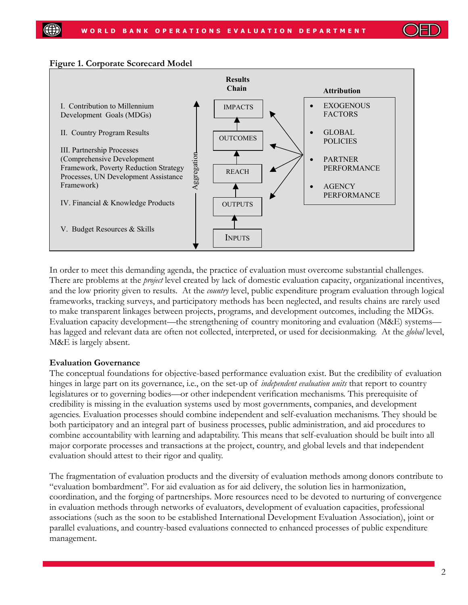

#### **Figure 1. Corporate Scorecard Model**



In order to meet this demanding agenda, the practice of evaluation must overcome substantial challenges. There are problems at the *project* level created by lack of domestic evaluation capacity, organizational incentives, and the low priority given to results. At the *country* level, public expenditure program evaluation through logical frameworks, tracking surveys, and participatory methods has been neglected, and results chains are rarely used to make transparent linkages between projects, programs, and development outcomes, including the MDGs. Evaluation capacity development—the strengthening of country monitoring and evaluation (M&E) systems has lagged and relevant data are often not collected, interpreted, or used for decisionmaking. At the *global* level, M&E is largely absent.

## **Evaluation Governance**

The conceptual foundations for objective-based performance evaluation exist. But the credibility of evaluation hinges in large part on its governance, i.e., on the set-up of *independent evaluation units* that report to country legislatures or to governing bodies—or other independent verification mechanisms. This prerequisite of credibility is missing in the evaluation systems used by most governments, companies, and development agencies. Evaluation processes should combine independent and self-evaluation mechanisms. They should be both participatory and an integral part of business processes, public administration, and aid procedures to combine accountability with learning and adaptability. This means that self-evaluation should be built into all major corporate processes and transactions at the project, country, and global levels and that independent evaluation should attest to their rigor and quality.

The fragmentation of evaluation products and the diversity of evaluation methods among donors contribute to "evaluation bombardment". For aid evaluation as for aid delivery, the solution lies in harmonization, coordination, and the forging of partnerships. More resources need to be devoted to nurturing of convergence in evaluation methods through networks of evaluators, development of evaluation capacities, professional associations (such as the soon to be established International Development Evaluation Association), joint or parallel evaluations, and country-based evaluations connected to enhanced processes of public expenditure management.